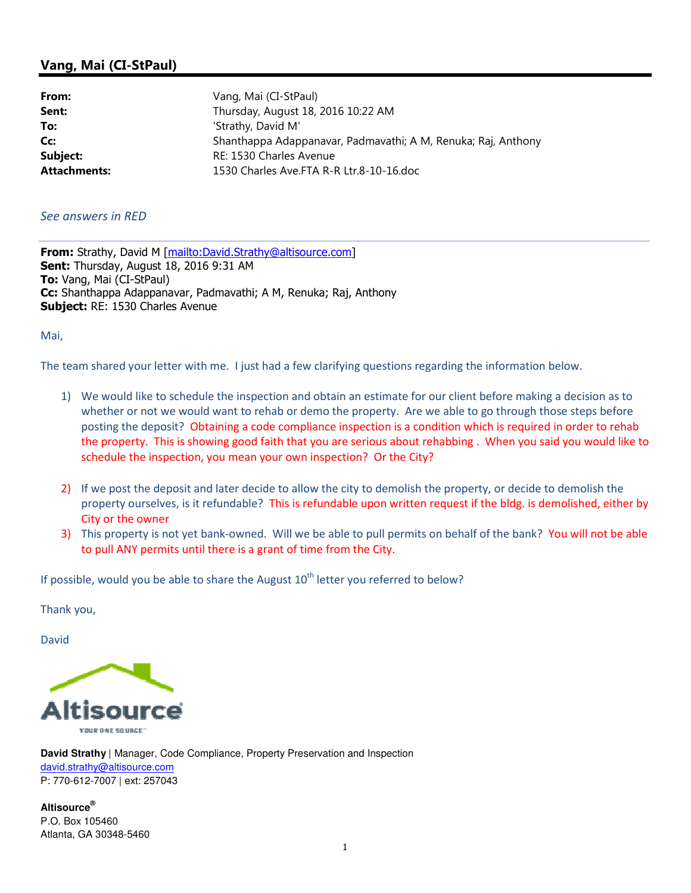## Vang, Mai (CI-StPaul)

| From:               | Vang, Mai (CI-StPaul)                                         |
|---------------------|---------------------------------------------------------------|
| Sent:               | Thursday, August 18, 2016 10:22 AM                            |
| To:                 | 'Strathy, David M'                                            |
| Cc:                 | Shanthappa Adappanavar, Padmavathi; A M, Renuka; Raj, Anthony |
| Subject:            | RE: 1530 Charles Avenue                                       |
| <b>Attachments:</b> | 1530 Charles Ave.FTA R-R Ltr.8-10-16.doc                      |

## See answers in RED

From: Strathy, David M [mailto:David.Strathy@altisource.com] Sent: Thursday, August 18, 2016 9:31 AM To: Vang, Mai (CI-StPaul) Cc: Shanthappa Adappanavar, Padmavathi; A M, Renuka; Raj, Anthony Subject: RE: 1530 Charles Avenue

Mai,

The team shared your letter with me. I just had a few clarifying questions regarding the information below.

- 1) We would like to schedule the inspection and obtain an estimate for our client before making a decision as to whether or not we would want to rehab or demo the property. Are we able to go through those steps before posting the deposit? Obtaining a code compliance inspection is a condition which is required in order to rehab the property. This is showing good faith that you are serious about rehabbing . When you said you would like to schedule the inspection, you mean your own inspection? Or the City?
- 2) If we post the deposit and later decide to allow the city to demolish the property, or decide to demolish the property ourselves, is it refundable? This is refundable upon written request if the bldg. is demolished, either by City or the owner
- 3) This property is not yet bank-owned. Will we be able to pull permits on behalf of the bank? You will not be able to pull ANY permits until there is a grant of time from the City.

If possible, would you be able to share the August  $10<sup>th</sup>$  letter you referred to below?

Thank you,

David



**David Strathy** | Manager, Code Compliance, Property Preservation and Inspection david.strathy@altisource.com P: 770-612-7007 | ext: 257043

**Altisource®** P.O. Box 105460 Atlanta, GA 30348-5460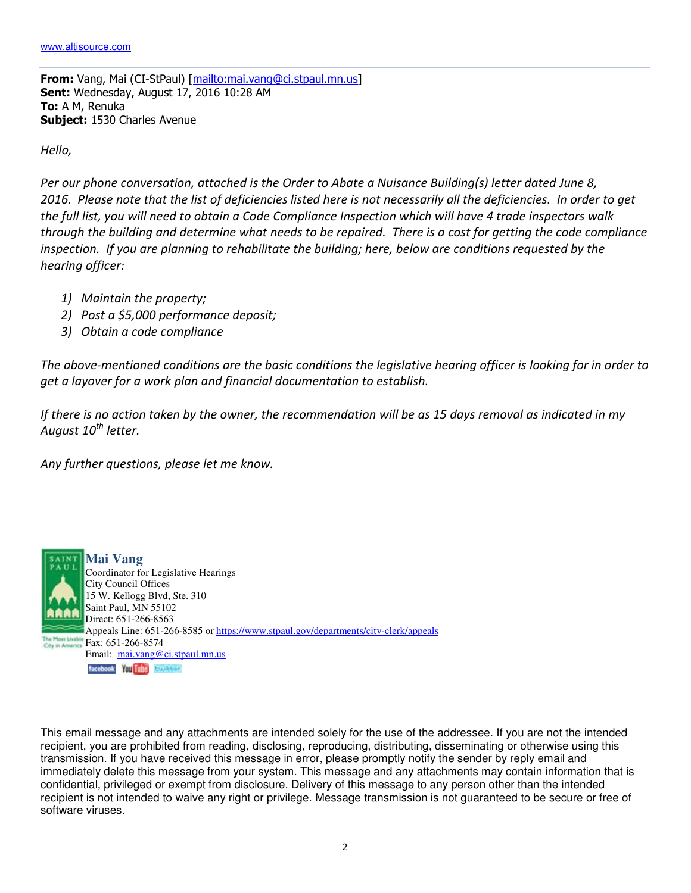From: Vang, Mai (CI-StPaul) [mailto:mai.vang@ci.stpaul.mn.us] Sent: Wednesday, August 17, 2016 10:28 AM To: A M, Renuka Subject: 1530 Charles Avenue

Hello,

Per our phone conversation, attached is the Order to Abate a Nuisance Building(s) letter dated June 8, 2016. Please note that the list of deficiencies listed here is not necessarily all the deficiencies. In order to get the full list, you will need to obtain a Code Compliance Inspection which will have 4 trade inspectors walk through the building and determine what needs to be repaired. There is a cost for getting the code compliance inspection. If you are planning to rehabilitate the building; here, below are conditions requested by the hearing officer:

- 1) Maintain the property;
- 2) Post a \$5,000 performance deposit;
- 3) Obtain a code compliance

The above-mentioned conditions are the basic conditions the legislative hearing officer is looking for in order to get a layover for a work plan and financial documentation to establish.

If there is no action taken by the owner, the recommendation will be as 15 days removal as indicated in my August 10<sup>th</sup> letter.

Any further questions, please let me know.



This email message and any attachments are intended solely for the use of the addressee. If you are not the intended recipient, you are prohibited from reading, disclosing, reproducing, distributing, disseminating or otherwise using this transmission. If you have received this message in error, please promptly notify the sender by reply email and immediately delete this message from your system. This message and any attachments may contain information that is confidential, privileged or exempt from disclosure. Delivery of this message to any person other than the intended recipient is not intended to waive any right or privilege. Message transmission is not guaranteed to be secure or free of software viruses.